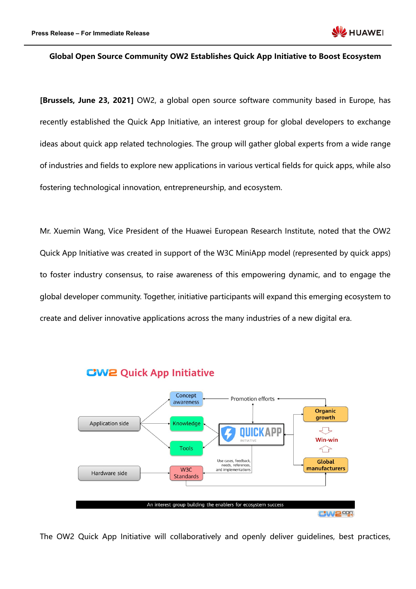

#### **Global Open Source Community OW2 Establishes Quick App Initiative to Boost Ecosystem**

**[Brussels, June 23, 2021]** OW2, a global open source software community based in Europe, has recently established the Quick App Initiative, an interest group for global developers to exchange ideas about quick app related technologies. The group will gather global experts from a wide range of industries and fields to explore new applications in various vertical fields for quick apps, while also fostering technological innovation, entrepreneurship, and ecosystem.

Mr. Xuemin Wang, Vice President of the Huawei European Research Institute, noted that the OW2 Quick App Initiative was created in support of the W3C MiniApp model (represented by quick apps) to foster industry consensus, to raise awareness of this empowering dynamic, and to engage the global developer community. Together, initiative participants will expand this emerging ecosystem to create and deliver innovative applications across the many industries of a new digital era.



**CW2** Quick App Initiative

The OW2 Quick App Initiative will collaboratively and openly deliver guidelines, best practices,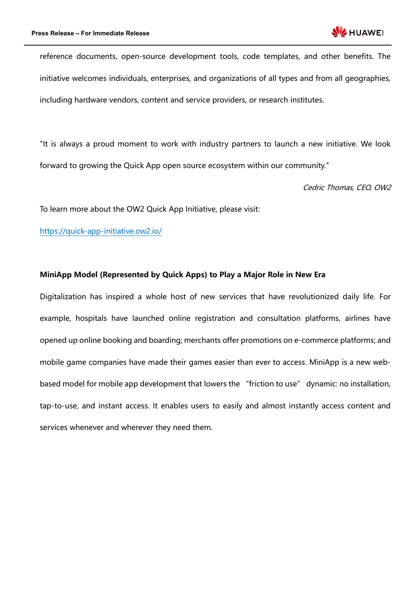

reference documents, open-source development tools, code templates, and other benefits. The initiative welcomes individuals, enterprises, and organizations of all types and from all geographies, including hardware vendors, content and service providers, or research institutes.

"It is always a proud moment to work with industry partners to launch a new initiative. We look forward to growing the Quick App open source ecosystem within our community."

Cedric Thomas, CEO, OW2

To learn more about the OW2 Quick App Initiative, please visit:

# <https://quick-app-initiative.ow2.io/>

## **MiniApp Model (Represented by Quick Apps) to Play a Major Role in New Era**

Digitalization has inspired a whole host of new services that have revolutionized daily life. For example, hospitals have launched online registration and consultation platforms, airlines have opened up online booking and boarding; merchants offer promotions on e-commerce platforms; and mobile game companies have made their games easier than ever to access. MiniApp is a new webbased model for mobile app development that lowers the "friction to use" dynamic: no installation, tap-to-use, and instant access. It enables users to easily and almost instantly access content and services whenever and wherever they need them.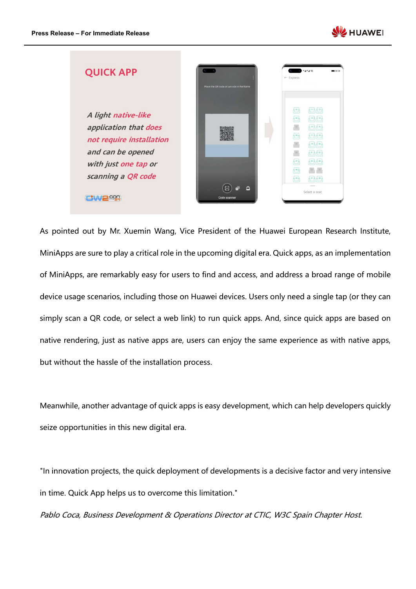



As pointed out by Mr. Xuemin Wang, Vice President of the Huawei European Research Institute, MiniApps are sure to play a critical role in the upcoming digital era. Quick apps, as an implementation of MiniApps, are remarkably easy for users to find and access, and address a broad range of mobile device usage scenarios, including those on Huawei devices. Users only need a single tap (or they can simply scan a QR code, or select a web link) to run quick apps. And, since quick apps are based on native rendering, just as native apps are, users can enjoy the same experience as with native apps, but without the hassle of the installation process.

Meanwhile, another advantage of quick apps is easy development, which can help developers quickly seize opportunities in this new digital era.

"In innovation projects, the quick deployment of developments is a decisive factor and very intensive in time. Quick App helps us to overcome this limitation."

Pablo Coca, Business Development & Operations Director at CTIC, W3C Spain Chapter Host.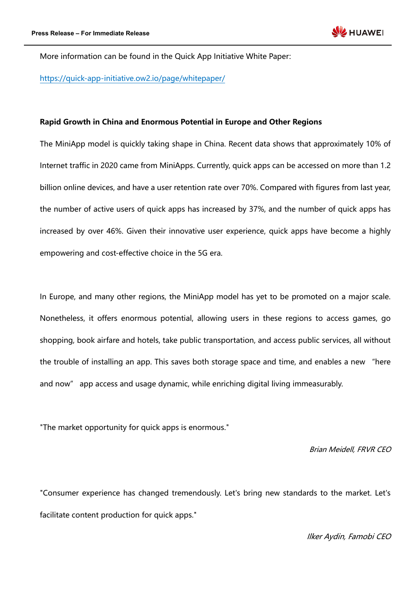

More information can be found in the Quick App Initiative White Paper:

<https://quick-app-initiative.ow2.io/page/whitepaper/>

#### **Rapid Growth in China and Enormous Potential in Europe and Other Regions**

The MiniApp model is quickly taking shape in China. Recent data shows that approximately 10% of Internet traffic in 2020 came from MiniApps. Currently, quick apps can be accessed on more than 1.2 billion online devices, and have a user retention rate over 70%. Compared with figures from last year, the number of active users of quick apps has increased by 37%, and the number of quick apps has increased by over 46%. Given their innovative user experience, quick apps have become a highly empowering and cost-effective choice in the 5G era.

In Europe, and many other regions, the MiniApp model has yet to be promoted on a major scale. Nonetheless, it offers enormous potential, allowing users in these regions to access games, go shopping, book airfare and hotels, take public transportation, and access public services, all without the trouble of installing an app. This saves both storage space and time, and enables a new "here and now" app access and usage dynamic, while enriching digital living immeasurably.

"The market opportunity for quick apps is enormous."

Brian Meidell, FRVR CEO

"Consumer experience has changed tremendously. Let's bring new standards to the market. Let's facilitate content production for quick apps."

Ilker Aydin, Famobi CEO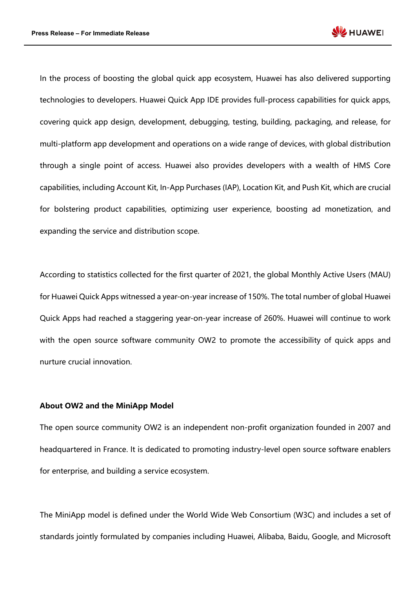

In the process of boosting the global quick app ecosystem, Huawei has also delivered supporting technologies to developers. Huawei Quick App IDE provides full-process capabilities for quick apps, covering quick app design, development, debugging, testing, building, packaging, and release, for multi-platform app development and operations on a wide range of devices, with global distribution through a single point of access. Huawei also provides developers with a wealth of HMS Core capabilities, including Account Kit, In-App Purchases (IAP), Location Kit, and Push Kit, which are crucial for bolstering product capabilities, optimizing user experience, boosting ad monetization, and expanding the service and distribution scope.

According to statistics collected for the first quarter of 2021, the global Monthly Active Users (MAU) for Huawei Quick Apps witnessed a year-on-year increase of 150%. The total number of global Huawei Quick Apps had reached a staggering year-on-year increase of 260%. Huawei will continue to work with the open source software community OW2 to promote the accessibility of quick apps and nurture crucial innovation.

## **About OW2 and the MiniApp Model**

The open source community OW2 is an independent non-profit organization founded in 2007 and headquartered in France. It is dedicated to promoting industry-level open source software enablers for enterprise, and building a service ecosystem.

The MiniApp model is defined under the World Wide Web Consortium (W3C) and includes a set of standards jointly formulated by companies including Huawei, Alibaba, Baidu, Google, and Microsoft